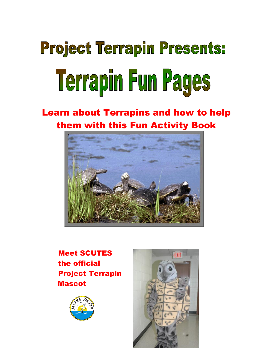# **Project Terrapin Presents:** Terrapin Fun Pages

## Learn about Terrapins and how to help them with this Fun Activity Book



 Meet SCUTES the official Project Terrapin Mascot



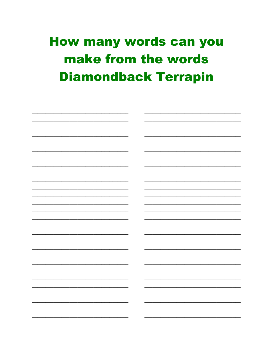## **How many words can you** make from the words **Diamondback Terrapin**

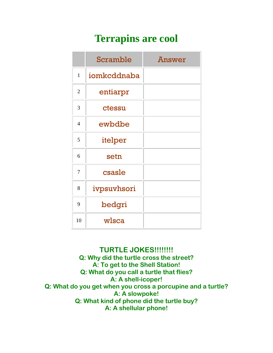## **Terrapins are cool**

|                | <b>Scramble</b> | <b>Answer</b> |
|----------------|-----------------|---------------|
| $\mathbf{1}$   | iomkcddnaba     |               |
| $\overline{2}$ | entiarpr        |               |
| 3              | ctessu          |               |
| $\overline{4}$ | ewbdbe          |               |
| 5              | itelper         |               |
| 6              | setn            |               |
| 7              | csasle          |               |
| 8              | ivpsuvhsori     |               |
| 9              | bedgri          |               |
| 10             | wlsca           |               |

#### **TURTLE JOKES!!!!!!!!**

Q: Why did the turtle cross the street? A: To get to the Shell Station! Q: What do you call a turtle that flies? A: A shell-icoper! Q: What do you get when you cross a porcupine and a turtle? A: A slowpoke! Q: What kind of phone did the turtle buy? A: A shellular phone!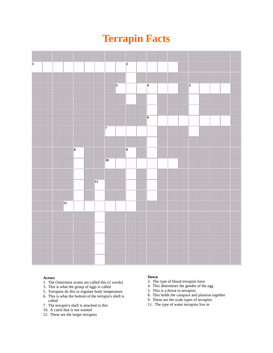## **Terrapin Facts**

| $\overline{\mathbf{1}}$ |                 |                         |                 |                |                | $\overline{2}$ |                |  |                |  |  |
|-------------------------|-----------------|-------------------------|-----------------|----------------|----------------|----------------|----------------|--|----------------|--|--|
|                         |                 |                         |                 |                |                |                |                |  |                |  |  |
|                         |                 |                         |                 |                | $\overline{3}$ |                | $\overline{4}$ |  | $\overline{5}$ |  |  |
|                         |                 |                         |                 |                |                |                |                |  |                |  |  |
|                         |                 |                         |                 |                |                |                |                |  |                |  |  |
|                         |                 |                         |                 |                |                |                | $\overline{6}$ |  |                |  |  |
|                         |                 |                         |                 | $\overline{7}$ |                |                |                |  |                |  |  |
|                         |                 |                         |                 |                |                |                |                |  |                |  |  |
|                         |                 | $\overline{\mathbf{8}}$ |                 |                |                | $\overline{9}$ |                |  |                |  |  |
|                         |                 |                         |                 | $ 10\rangle$   |                |                |                |  |                |  |  |
|                         |                 |                         |                 |                |                |                |                |  |                |  |  |
|                         |                 |                         | $\overline{11}$ |                |                |                |                |  |                |  |  |
|                         |                 |                         |                 |                |                |                |                |  |                |  |  |
|                         | $\overline{12}$ |                         |                 |                |                |                |                |  |                |  |  |
|                         |                 |                         |                 |                |                |                |                |  |                |  |  |
|                         |                 |                         |                 |                |                |                |                |  |                |  |  |
|                         |                 |                         |                 |                |                |                |                |  |                |  |  |
|                         |                 |                         |                 |                |                |                |                |  |                |  |  |
|                         |                 |                         |                 |                |                |                |                |  |                |  |  |

#### **Across**

- 1. The Outermost scutes are called this (2 words)
- 3. This is what the group of eggs is called
- 5. Terrapins do this to regulate body temperature
- 6. This is what the bottom of the terrapin's shell is called
- 7. The terrapin's shell is attached to this
- 10. A catch that is not wanted
- 12. These are the larger terrapins

#### **Down**

- 2. The type of blood terrapins have
- 4. This determines the gender of the egg
- 5. This is a threat to terrapins
- 8. This holds the carapace and plastron together
- 9. These are the scale types of terrapins
- 11. The type of water terrapins live in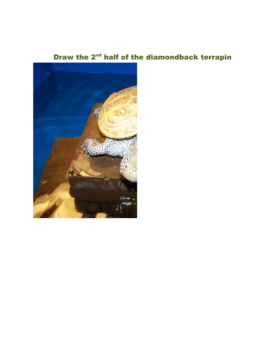## Draw the 2<sup>nd</sup> half of the diamondback terrapin

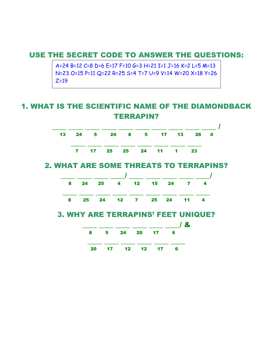#### USE THE SECRET CODE TO ANSWER THE QUESTIONS:

A=24 B=12 C=8 D=6 E=17 F=10 G=3 H=21 I=1 J=16 K=2 L=5 M=13 N=23 O=15 P=11 Q=22 R=25 S=4 T=7 U=9 V=14 W=20 X=18 Y=26  $Z=19$ 

### 1. WHAT IS THE SCIENTIFIC NAME OF THE DIAMONDBACK TERRAPIN?



#### 2. WHAT ARE SOME THREATS TO TERRAPINS?



| 20 17 12 12 17 6 |  |  |
|------------------|--|--|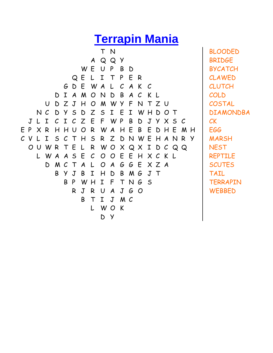## **Terrapin Mania**

T N A Q Q Y W E U P B D Q E L I T P E R G D E W A L C A K C D I A M O N D B A C K L U D Z J H O M W Y F N T Z U N C D Y S D Z S I E I W H D O T J L I C I C Z E F W P B D J Y X S C E P X R H H U O R W A H E B E D H E M H C V L I S C T H S R Z D N W E H A N R Y O U W R T E L R W O X Q X I D C Q Q L W A A S E C O O E E H X C K L D M C T A L O A G G E X Z A B Y J B I H D B M G J T B P W H I F T N G S R J R U A J G O B T I J M C L W O K D Y

BLOODED BRIDGE BYCATCH CLAWED CLUTCH COLD **COSTAL** DIAMONDBA CK EGG MARSH **NEST** REPTILE **SCUTES** TAIL **TERRAPIN WEBBED**